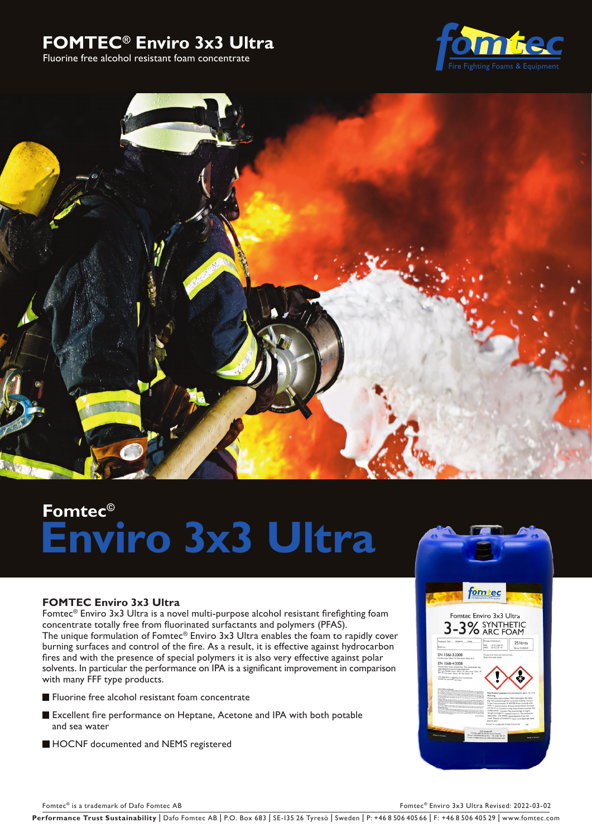# **FOMTEC® Enviro 3x3 Ultra**

Fluorine free alcohol resistant foam concentrate





# **Fomtec© Enviro 3x3 Ultra**

# **FOMTEC Enviro 3x3 Ultra**

Fomtec® Enviro 3x3 Ultra is a novel multi-purpose alcohol resistant firefighting foam concentrate totally free from fluorinated surfactants and polymers (PFAS). The unique formulation of Fomtec® Enviro 3x3 Ultra enables the foam to rapidly cover burning surfaces and control of the fire. As a result, it is effective against hydrocarbon fires and with the presence of special polymers it is also very effective against polar solvents. In particular the performance on IPA is a significant improvement in comparison with many FFF type products.

- **Fluorine free alcohol resistant foam concentrate**
- Excellent fire performance on Heptane, Acetone and IPA with both potable and sea water
- HOCNF documented and NEMS registered



Fomtec<sup>®</sup> is a trademark of Dafo Fomtec AB Fomter and the C<sup>®</sup> Enviro 3x3 Ultra Revised: 2022-03-02

Performance Trust Sustainability | Dafo Fomtec AB | P.O. Box 683 | SE-135 26 Tyresö | Sweden | P: +46 8 506 405 66 | F: +46 8 506 405 29 | www.fomtec.com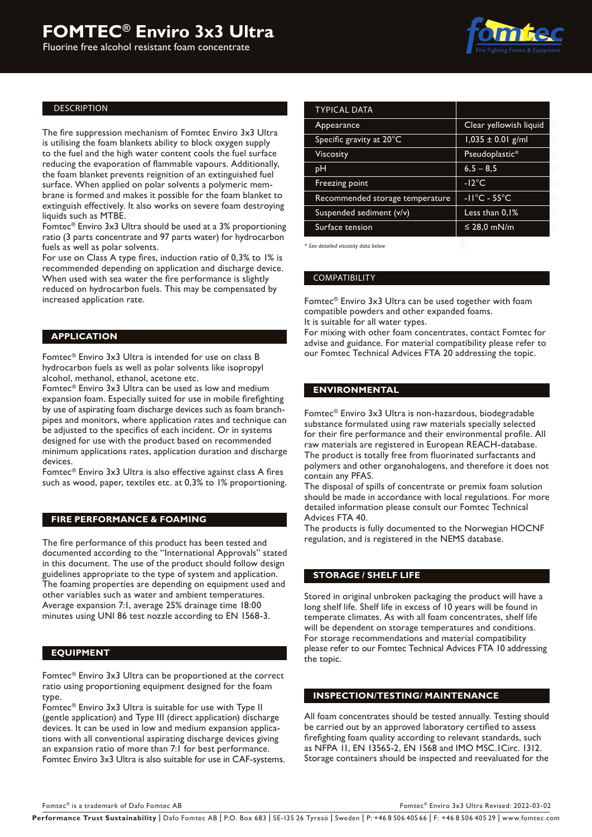# **FOMTEC® Enviro 3x3 Ultra**

Fluorine free alcohol resistant foam concentrate



#### DESCRIPTION

The fire suppression mechanism of Fomtec Enviro 3x3 Ultra is utilising the foam blankets ability to block oxygen supply to the fuel and the high water content cools the fuel surface reducing the evaporation of flammable vapours. Additionally, the foam blanket prevents reignition of an extinguished fuel surface. When applied on polar solvents a polymeric membrane is formed and makes it possible for the foam blanket to extinguish effectively. It also works on severe foam destroying liquids such as MTBE.

Fomtec® Enviro 3x3 Ultra should be used at a 3% proportioning ratio (3 parts concentrate and 97 parts water) for hydrocarbon fuels as well as polar solvents.

For use on Class A type fires, induction ratio of 0,3% to 1% is recommended depending on application and discharge device. When used with sea water the fire performance is slightly reduced on hydrocarbon fuels. This may be compensated by increased application rate.

#### **APPLICATION**

Fomtec® Enviro 3x3 Ultra is intended for use on class B hydrocarbon fuels as well as polar solvents like isopropyl alcohol, methanol, ethanol, acetone etc.

Fomtec® Enviro 3x3 Ultra can be used as low and medium expansion foam. Especially suited for use in mobile firefighting by use of aspirating foam discharge devices such as foam branchpipes and monitors, where application rates and technique can be adjusted to the specifics of each incident. Or in systems designed for use with the product based on recommended minimum applications rates, application duration and discharge devices.

Fomtec® Enviro 3x3 Ultra is also effective against class A fires such as wood, paper, textiles etc. at 0,3% to 1% proportioning.

#### **FIRE PERFORMANCE & FOAMING**

The fire performance of this product has been tested and documented according to the "International Approvals" stated in this document. The use of the product should follow design guidelines appropriate to the type of system and application. The foaming properties are depending on equipment used and other variables such as water and ambient temperatures. Average expansion 7:1, average 25% drainage time 18:00 minutes using UNI 86 test nozzle according to EN 1568-3.

#### **EQUIPMENT**

Fomtec® Enviro 3x3 Ultra can be proportioned at the correct ratio using proportioning equipment designed for the foam type.

Fomtec® Enviro 3x3 Ultra is suitable for use with Type II (gentle application) and Type III (direct application) discharge devices. It can be used in low and medium expansion applications with all conventional aspirating discharge devices giving an expansion ratio of more than 7:1 for best performance. Fomtec Enviro 3x3 Ultra is also suitable for use in CAF-systems.

| <b>TYPICAL DATA</b>             |                                   |  |  |
|---------------------------------|-----------------------------------|--|--|
| Appearance                      | Clear yellowish liquid            |  |  |
| Specific gravity at 20°C        | $1,035 \pm 0.01$ g/ml             |  |  |
| Viscosity                       | Pseudoplastic*                    |  |  |
| pН                              | $6,5 - 8,5$                       |  |  |
| Freezing point                  | $-12^{\circ}$ C                   |  |  |
| Recommended storage temperature | $-11^{\circ}$ C - 55 $^{\circ}$ C |  |  |
| Suspended sediment (v/v)        | Less than 0.1%                    |  |  |
| Surface tension                 | ≤ 28,0 mN/m                       |  |  |
|                                 |                                   |  |  |

*\* See detailed viscosity data below*

#### COMPATIBILITY

Fomtec® Enviro 3x3 Ultra can be used together with foam compatible powders and other expanded foams. It is suitable for all water types.

For mixing with other foam concentrates, contact Fomtec for advise and guidance. For material compatibility please refer to our Fomtec Technical Advices FTA 20 addressing the topic.

#### **ENVIRONMENTAL**

Fomtec® Enviro 3x3 Ultra is non-hazardous, biodegradable substance formulated using raw materials specially selected for their fire performance and their environmental profile. All raw materials are registered in European REACH-database. The product is totally free from fluorinated surfactants and polymers and other organohalogens, and therefore it does not contain any PFAS.

The disposal of spills of concentrate or premix foam solution should be made in accordance with local regulations. For more detailed information please consult our Fomtec Technical Advices FTA 40.

The products is fully documented to the Norwegian HOCNF regulation, and is registered in the NEMS database.

#### **STORAGE / SHELF LIFE**

Stored in original unbroken packaging the product will have a long shelf life. Shelf life in excess of 10 years will be found in temperate climates. As with all foam concentrates, shelf life will be dependent on storage temperatures and conditions. For storage recommendations and material compatibility please refer to our Fomtec Technical Advices FTA 10 addressing the topic.

#### **INSPECTION/TESTING/ MAINTENANCE**

All foam concentrates should be tested annually. Testing should be carried out by an approved laboratory certified to assess firefighting foam quality according to relevant standards, such as NFPA 11, EN 13565-2, EN 1568 and IMO MSC.1Circ. 1312. Storage containers should be inspected and reevaluated for the

Fomtec<sup>®</sup> is a trademark of Dafo Fomtec AB Fomter and the C<sup>®</sup> Enviro 3x3 Ultra Revised: 2022-03-02

Performance Trust Sustainability | Dafo Fomtec AB | P.O. Box 683 | SE-135 26 Tyresö | Sweden | P: +46 8 506 405 66 | F: +46 8 506 405 29 | www.fomtec.com